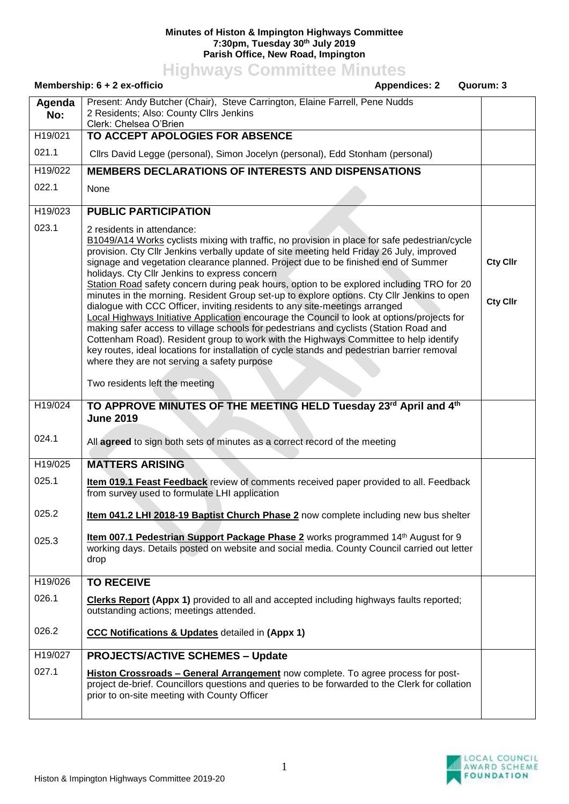## **Minutes of Histon & Impington Highways Committee 7:30pm, Tuesday 30th July 2019 Parish Office, New Road, Impington**

**Highways Committee Minutes**

|               | Membership: 6 + 2 ex-officio<br><b>Appendices: 2</b><br>Quorum: 3                                                                                                                                                                                                                                                                                                                                                                                                                                                                                                                                                                                                                                                                                                                                                                                                                                                                                                                                                                                                       |                                    |
|---------------|-------------------------------------------------------------------------------------------------------------------------------------------------------------------------------------------------------------------------------------------------------------------------------------------------------------------------------------------------------------------------------------------------------------------------------------------------------------------------------------------------------------------------------------------------------------------------------------------------------------------------------------------------------------------------------------------------------------------------------------------------------------------------------------------------------------------------------------------------------------------------------------------------------------------------------------------------------------------------------------------------------------------------------------------------------------------------|------------------------------------|
| Agenda<br>No: | Present: Andy Butcher (Chair), Steve Carrington, Elaine Farrell, Pene Nudds<br>2 Residents; Also: County Cllrs Jenkins<br>Clerk: Chelsea O'Brien                                                                                                                                                                                                                                                                                                                                                                                                                                                                                                                                                                                                                                                                                                                                                                                                                                                                                                                        |                                    |
| H19/021       | TO ACCEPT APOLOGIES FOR ABSENCE                                                                                                                                                                                                                                                                                                                                                                                                                                                                                                                                                                                                                                                                                                                                                                                                                                                                                                                                                                                                                                         |                                    |
| 021.1         | Cllrs David Legge (personal), Simon Jocelyn (personal), Edd Stonham (personal)                                                                                                                                                                                                                                                                                                                                                                                                                                                                                                                                                                                                                                                                                                                                                                                                                                                                                                                                                                                          |                                    |
| H19/022       | <b>MEMBERS DECLARATIONS OF INTERESTS AND DISPENSATIONS</b>                                                                                                                                                                                                                                                                                                                                                                                                                                                                                                                                                                                                                                                                                                                                                                                                                                                                                                                                                                                                              |                                    |
| 022.1         | None                                                                                                                                                                                                                                                                                                                                                                                                                                                                                                                                                                                                                                                                                                                                                                                                                                                                                                                                                                                                                                                                    |                                    |
| H19/023       | <b>PUBLIC PARTICIPATION</b>                                                                                                                                                                                                                                                                                                                                                                                                                                                                                                                                                                                                                                                                                                                                                                                                                                                                                                                                                                                                                                             |                                    |
| 023.1         | 2 residents in attendance:<br>B1049/A14 Works cyclists mixing with traffic, no provision in place for safe pedestrian/cycle<br>provision. Cty Cllr Jenkins verbally update of site meeting held Friday 26 July, improved<br>signage and vegetation clearance planned. Project due to be finished end of Summer<br>holidays. Cty Cllr Jenkins to express concern<br>Station Road safety concern during peak hours, option to be explored including TRO for 20<br>minutes in the morning. Resident Group set-up to explore options. Cty Cllr Jenkins to open<br>dialogue with CCC Officer, inviting residents to any site-meetings arranged<br>Local Highways Initiative Application encourage the Council to look at options/projects for<br>making safer access to village schools for pedestrians and cyclists (Station Road and<br>Cottenham Road). Resident group to work with the Highways Committee to help identify<br>key routes, ideal locations for installation of cycle stands and pedestrian barrier removal<br>where they are not serving a safety purpose | <b>Cty Cllr</b><br><b>Cty Cllr</b> |
|               | Two residents left the meeting                                                                                                                                                                                                                                                                                                                                                                                                                                                                                                                                                                                                                                                                                                                                                                                                                                                                                                                                                                                                                                          |                                    |
| H19/024       | TO APPROVE MINUTES OF THE MEETING HELD Tuesday 23rd April and 4th<br><b>June 2019</b>                                                                                                                                                                                                                                                                                                                                                                                                                                                                                                                                                                                                                                                                                                                                                                                                                                                                                                                                                                                   |                                    |
| 024.1         | All agreed to sign both sets of minutes as a correct record of the meeting                                                                                                                                                                                                                                                                                                                                                                                                                                                                                                                                                                                                                                                                                                                                                                                                                                                                                                                                                                                              |                                    |
| H19/025       | <b>MATTERS ARISING</b>                                                                                                                                                                                                                                                                                                                                                                                                                                                                                                                                                                                                                                                                                                                                                                                                                                                                                                                                                                                                                                                  |                                    |
| 025.1         | <b>Item 019.1 Feast Feedback</b> review of comments received paper provided to all. Feedback<br>from survey used to formulate LHI application                                                                                                                                                                                                                                                                                                                                                                                                                                                                                                                                                                                                                                                                                                                                                                                                                                                                                                                           |                                    |
| 025.2         | Item 041.2 LHI 2018-19 Baptist Church Phase 2 now complete including new bus shelter                                                                                                                                                                                                                                                                                                                                                                                                                                                                                                                                                                                                                                                                                                                                                                                                                                                                                                                                                                                    |                                    |
| 025.3         | Item 007.1 Pedestrian Support Package Phase 2 works programmed 14th August for 9<br>working days. Details posted on website and social media. County Council carried out letter<br>drop                                                                                                                                                                                                                                                                                                                                                                                                                                                                                                                                                                                                                                                                                                                                                                                                                                                                                 |                                    |
| H19/026       | <b>TO RECEIVE</b>                                                                                                                                                                                                                                                                                                                                                                                                                                                                                                                                                                                                                                                                                                                                                                                                                                                                                                                                                                                                                                                       |                                    |
| 026.1         | <b>Clerks Report (Appx 1)</b> provided to all and accepted including highways faults reported;<br>outstanding actions; meetings attended.                                                                                                                                                                                                                                                                                                                                                                                                                                                                                                                                                                                                                                                                                                                                                                                                                                                                                                                               |                                    |
| 026.2         | <b>CCC Notifications &amp; Updates detailed in (Appx 1)</b>                                                                                                                                                                                                                                                                                                                                                                                                                                                                                                                                                                                                                                                                                                                                                                                                                                                                                                                                                                                                             |                                    |
| H19/027       | <b>PROJECTS/ACTIVE SCHEMES - Update</b>                                                                                                                                                                                                                                                                                                                                                                                                                                                                                                                                                                                                                                                                                                                                                                                                                                                                                                                                                                                                                                 |                                    |
| 027.1         | Histon Crossroads - General Arrangement now complete. To agree process for post-<br>project de-brief. Councillors questions and queries to be forwarded to the Clerk for collation<br>prior to on-site meeting with County Officer                                                                                                                                                                                                                                                                                                                                                                                                                                                                                                                                                                                                                                                                                                                                                                                                                                      |                                    |